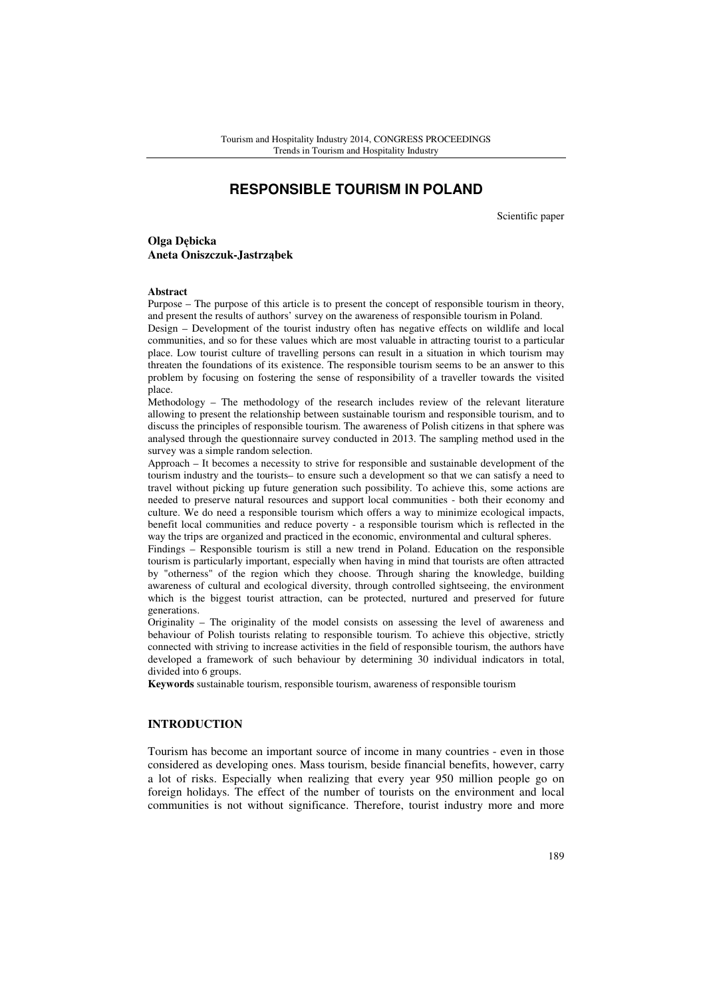# **RESPONSIBLE TOURISM IN POLAND**

Scientific paper

**Olga D**ę**bicka Aneta Oniszczuk-Jastrz**ą**bek** 

#### **Abstract**

Purpose – The purpose of this article is to present the concept of responsible tourism in theory, and present the results of authors' survey on the awareness of responsible tourism in Poland.

Design – Development of the tourist industry often has negative effects on wildlife and local communities, and so for these values which are most valuable in attracting tourist to a particular place. Low tourist culture of travelling persons can result in a situation in which tourism may threaten the foundations of its existence. The responsible tourism seems to be an answer to this problem by focusing on fostering the sense of responsibility of a traveller towards the visited place.

Methodology – The methodology of the research includes review of the relevant literature allowing to present the relationship between sustainable tourism and responsible tourism, and to discuss the principles of responsible tourism. The awareness of Polish citizens in that sphere was analysed through the questionnaire survey conducted in 2013. The sampling method used in the survey was a simple random selection.

Approach – It becomes a necessity to strive for responsible and sustainable development of the tourism industry and the tourists– to ensure such a development so that we can satisfy a need to travel without picking up future generation such possibility. To achieve this, some actions are needed to preserve natural resources and support local communities - both their economy and culture. We do need a responsible tourism which offers a way to minimize ecological impacts, benefit local communities and reduce poverty - a responsible tourism which is reflected in the way the trips are organized and practiced in the economic, environmental and cultural spheres.

Findings – Responsible tourism is still a new trend in Poland. Education on the responsible tourism is particularly important, especially when having in mind that tourists are often attracted by "otherness" of the region which they choose. Through sharing the knowledge, building awareness of cultural and ecological diversity, through controlled sightseeing, the environment which is the biggest tourist attraction, can be protected, nurtured and preserved for future generations.

Originality – The originality of the model consists on assessing the level of awareness and behaviour of Polish tourists relating to responsible tourism. To achieve this objective, strictly connected with striving to increase activities in the field of responsible tourism, the authors have developed a framework of such behaviour by determining 30 individual indicators in total, divided into 6 groups.

**Keywords** sustainable tourism, responsible tourism, awareness of responsible tourism

## **INTRODUCTION**

Tourism has become an important source of income in many countries - even in those considered as developing ones. Mass tourism, beside financial benefits, however, carry a lot of risks. Especially when realizing that every year 950 million people go on foreign holidays. The effect of the number of tourists on the environment and local communities is not without significance. Therefore, tourist industry more and more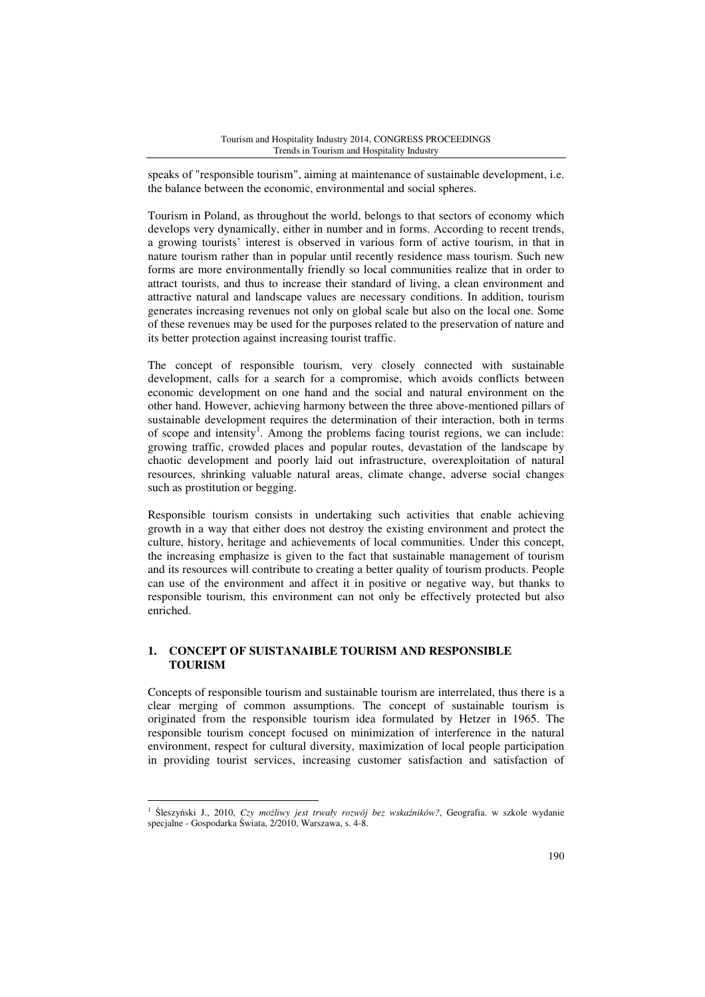speaks of "responsible tourism", aiming at maintenance of sustainable development, i.e. the balance between the economic, environmental and social spheres.

Tourism in Poland, as throughout the world, belongs to that sectors of economy which develops very dynamically, either in number and in forms. According to recent trends, a growing tourists' interest is observed in various form of active tourism, in that in nature tourism rather than in popular until recently residence mass tourism. Such new forms are more environmentally friendly so local communities realize that in order to attract tourists, and thus to increase their standard of living, a clean environment and attractive natural and landscape values are necessary conditions. In addition, tourism generates increasing revenues not only on global scale but also on the local one. Some of these revenues may be used for the purposes related to the preservation of nature and its better protection against increasing tourist traffic.

The concept of responsible tourism, very closely connected with sustainable development, calls for a search for a compromise, which avoids conflicts between economic development on one hand and the social and natural environment on the other hand. However, achieving harmony between the three above-mentioned pillars of sustainable development requires the determination of their interaction, both in terms of scope and intensity<sup>1</sup>. Among the problems facing tourist regions, we can include: growing traffic, crowded places and popular routes, devastation of the landscape by chaotic development and poorly laid out infrastructure, overexploitation of natural resources, shrinking valuable natural areas, climate change, adverse social changes such as prostitution or begging.

Responsible tourism consists in undertaking such activities that enable achieving growth in a way that either does not destroy the existing environment and protect the culture, history, heritage and achievements of local communities. Under this concept, the increasing emphasize is given to the fact that sustainable management of tourism and its resources will contribute to creating a better quality of tourism products. People can use of the environment and affect it in positive or negative way, but thanks to responsible tourism, this environment can not only be effectively protected but also enriched.

## **1. CONCEPT OF SUISTANAIBLE TOURISM AND RESPONSIBLE TOURISM**

 $\overline{a}$ 

Concepts of responsible tourism and sustainable tourism are interrelated, thus there is a clear merging of common assumptions. The concept of sustainable tourism is originated from the responsible tourism idea formulated by Hetzer in 1965. The responsible tourism concept focused on minimization of interference in the natural environment, respect for cultural diversity, maximization of local people participation in providing tourist services, increasing customer satisfaction and satisfaction of

<sup>1</sup> Śleszyński J., 2010, *Czy mo*ż*liwy jest trwały rozwój bez wska*ź*ników?*, Geografia. w szkole wydanie specjalne - Gospodarka Świata, 2/2010, Warszawa, s. 4-8.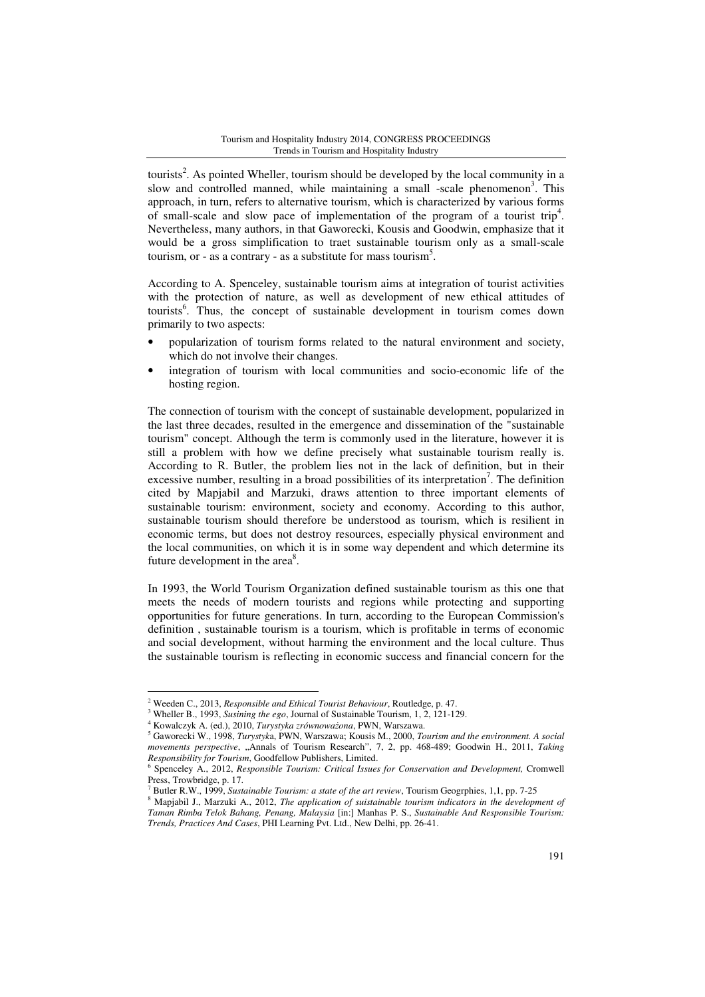tourists<sup>2</sup>. As pointed Wheller, tourism should be developed by the local community in a slow and controlled manned, while maintaining a small -scale phenomenon<sup>3</sup>. This approach, in turn, refers to alternative tourism, which is characterized by various forms of small-scale and slow pace of implementation of the program of a tourist trip<sup>4</sup>. Nevertheless, many authors, in that Gaworecki, Kousis and Goodwin, emphasize that it would be a gross simplification to traet sustainable tourism only as a small-scale tourism, or - as a contrary - as a substitute for mass tourism<sup>5</sup>.

According to A. Spenceley, sustainable tourism aims at integration of tourist activities with the protection of nature, as well as development of new ethical attitudes of tourists<sup>6</sup>. Thus, the concept of sustainable development in tourism comes down primarily to two aspects:

- popularization of tourism forms related to the natural environment and society, which do not involve their changes.
- integration of tourism with local communities and socio-economic life of the hosting region.

The connection of tourism with the concept of sustainable development, popularized in the last three decades, resulted in the emergence and dissemination of the "sustainable tourism" concept. Although the term is commonly used in the literature, however it is still a problem with how we define precisely what sustainable tourism really is. According to R. Butler, the problem lies not in the lack of definition, but in their excessive number, resulting in a broad possibilities of its interpretation<sup>7</sup>. The definition cited by Mapjabil and Marzuki, draws attention to three important elements of sustainable tourism: environment, society and economy. According to this author, sustainable tourism should therefore be understood as tourism, which is resilient in economic terms, but does not destroy resources, especially physical environment and the local communities, on which it is in some way dependent and which determine its future development in the area $8$ .

In 1993, the World Tourism Organization defined sustainable tourism as this one that meets the needs of modern tourists and regions while protecting and supporting opportunities for future generations. In turn, according to the European Commission's definition , sustainable tourism is a tourism, which is profitable in terms of economic and social development, without harming the environment and the local culture. Thus the sustainable tourism is reflecting in economic success and financial concern for the

 $\overline{a}$ 

<sup>2</sup> Weeden C., 2013, *Responsible and Ethical Tourist Behaviour*, Routledge, p. 47.

<sup>3</sup> Wheller B., 1993, *Susining the ego*, Journal of Sustainable Tourism, 1, 2, 121-129.

<sup>4</sup> Kowalczyk A. (ed.), 2010, *Turystyka zrównowa*ż*ona*, PWN, Warszawa.

<sup>5</sup> Gaworecki W., 1998, *Turystyk*a, PWN, Warszawa; Kousis M., 2000, *Tourism and the environment. A social movements perspective*, "Annals of Tourism Research", 7, 2, pp. 468-489; Goodwin H., 2011, *Taking Responsibility for Tourism*, Goodfellow Publishers, Limited.

<sup>6</sup> Spenceley A., 2012, *Responsible Tourism: Critical Issues for Conservation and Development,* Cromwell Press, Trowbridge, p. 17.

<sup>7</sup> Butler R.W., 1999, *Sustainable Tourism: a state of the art review*, Tourism Geogrphies, 1,1, pp. 7-25

<sup>8</sup> Mapjabil J., Marzuki A., 2012, *The application of suistainable tourism indicators in the development of Taman Rimba Telok Bahang, Penang, Malaysia* [in:] Manhas P. S., *Sustainable And Responsible Tourism: Trends, Practices And Cases*, PHI Learning Pvt. Ltd., New Delhi, pp. 26-41.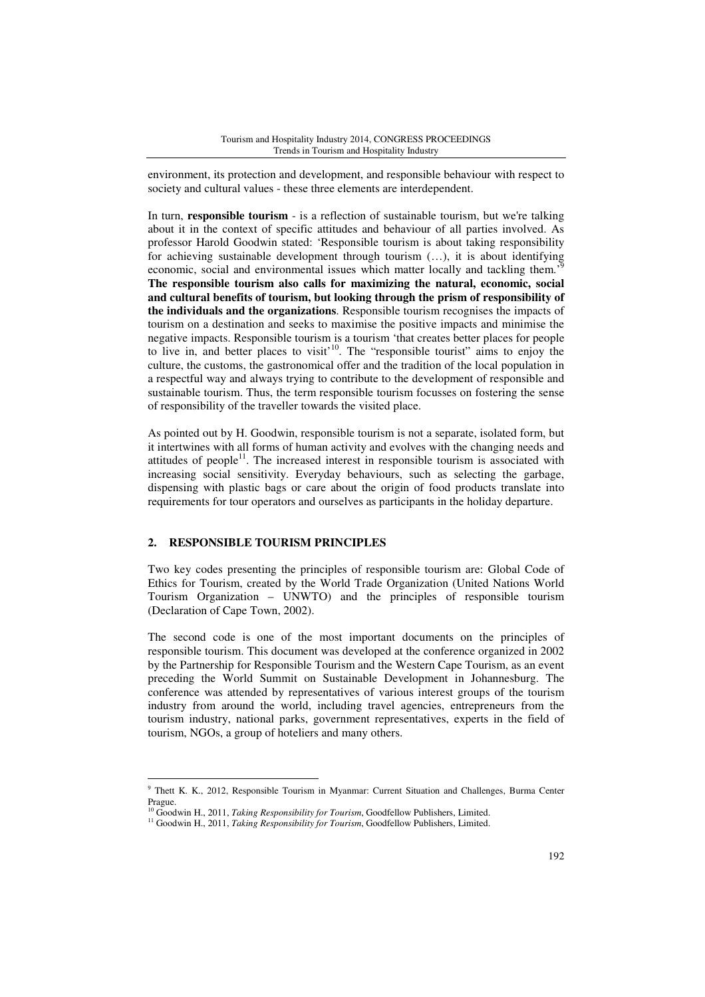environment, its protection and development, and responsible behaviour with respect to society and cultural values - these three elements are interdependent.

In turn, **responsible tourism** - is a reflection of sustainable tourism, but we're talking about it in the context of specific attitudes and behaviour of all parties involved. As professor Harold Goodwin stated: 'Responsible tourism is about taking responsibility for achieving sustainable development through tourism (…), it is about identifying economic, social and environmental issues which matter locally and tackling them.'<sup>9</sup> **The responsible tourism also calls for maximizing the natural, economic, social and cultural benefits of tourism, but looking through the prism of responsibility of the individuals and the organizations**. Responsible tourism recognises the impacts of tourism on a destination and seeks to maximise the positive impacts and minimise the negative impacts. Responsible tourism is a tourism 'that creates better places for people to live in, and better places to visit<sup>10</sup>. The "responsible tourist" aims to enjoy the culture, the customs, the gastronomical offer and the tradition of the local population in a respectful way and always trying to contribute to the development of responsible and sustainable tourism. Thus, the term responsible tourism focusses on fostering the sense of responsibility of the traveller towards the visited place.

As pointed out by H. Goodwin, responsible tourism is not a separate, isolated form, but it intertwines with all forms of human activity and evolves with the changing needs and attitudes of people<sup>11</sup>. The increased interest in responsible tourism is associated with increasing social sensitivity. Everyday behaviours, such as selecting the garbage, dispensing with plastic bags or care about the origin of food products translate into requirements for tour operators and ourselves as participants in the holiday departure.

## **2. RESPONSIBLE TOURISM PRINCIPLES**

 $\overline{a}$ 

Two key codes presenting the principles of responsible tourism are: Global Code of Ethics for Tourism, created by the World Trade Organization (United Nations World Tourism Organization – UNWTO) and the principles of responsible tourism (Declaration of Cape Town, 2002).

The second code is one of the most important documents on the principles of responsible tourism. This document was developed at the conference organized in 2002 by the Partnership for Responsible Tourism and the Western Cape Tourism, as an event preceding the World Summit on Sustainable Development in Johannesburg. The conference was attended by representatives of various interest groups of the tourism industry from around the world, including travel agencies, entrepreneurs from the tourism industry, national parks, government representatives, experts in the field of tourism, NGOs, a group of hoteliers and many others.

<sup>&</sup>lt;sup>9</sup> Thett K. K., 2012, Responsible Tourism in Myanmar: Current Situation and Challenges, Burma Center Prague.

<sup>&</sup>lt;sup>10</sup> Goodwin H., 2011, *Taking Responsibility for Tourism*, Goodfellow Publishers, Limited.

<sup>&</sup>lt;sup>11</sup> Goodwin H., 2011, *Taking Responsibility for Tourism*, Goodfellow Publishers, Limited.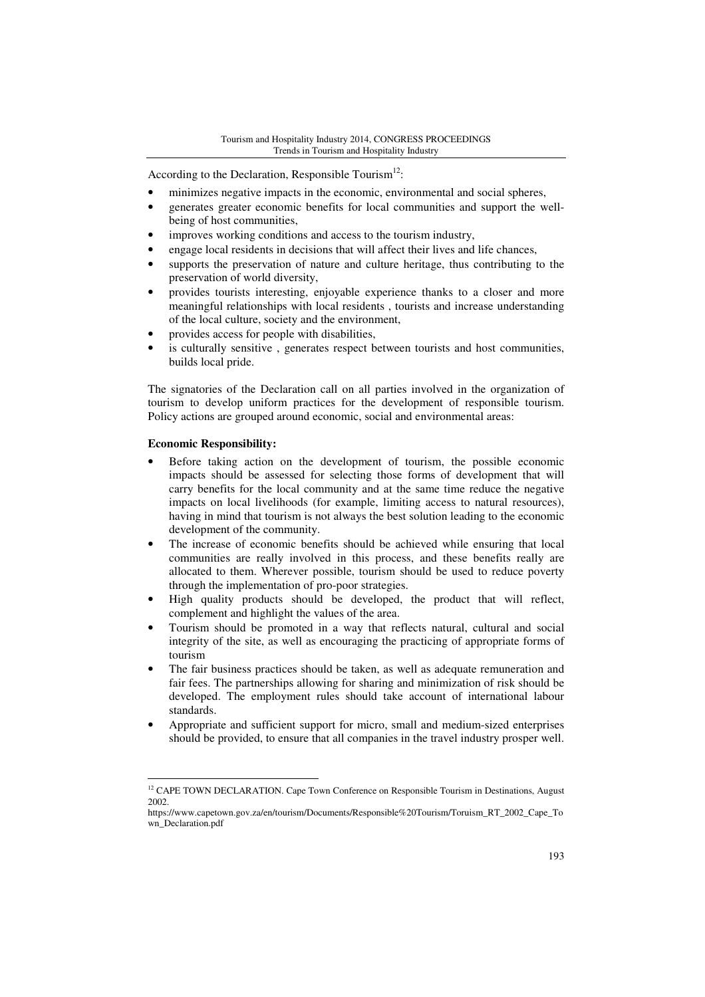According to the Declaration, Responsible Tourism<sup>12</sup>:

- minimizes negative impacts in the economic, environmental and social spheres,
- generates greater economic benefits for local communities and support the wellbeing of host communities,
- improves working conditions and access to the tourism industry,
- engage local residents in decisions that will affect their lives and life chances,
- supports the preservation of nature and culture heritage, thus contributing to the preservation of world diversity,
- provides tourists interesting, enjoyable experience thanks to a closer and more meaningful relationships with local residents , tourists and increase understanding of the local culture, society and the environment,
- provides access for people with disabilities,
- is culturally sensitive, generates respect between tourists and host communities, builds local pride.

The signatories of the Declaration call on all parties involved in the organization of tourism to develop uniform practices for the development of responsible tourism. Policy actions are grouped around economic, social and environmental areas:

## **Economic Responsibility:**

- Before taking action on the development of tourism, the possible economic impacts should be assessed for selecting those forms of development that will carry benefits for the local community and at the same time reduce the negative impacts on local livelihoods (for example, limiting access to natural resources), having in mind that tourism is not always the best solution leading to the economic development of the community.
- The increase of economic benefits should be achieved while ensuring that local communities are really involved in this process, and these benefits really are allocated to them. Wherever possible, tourism should be used to reduce poverty through the implementation of pro-poor strategies.
- High quality products should be developed, the product that will reflect, complement and highlight the values of the area.
- Tourism should be promoted in a way that reflects natural, cultural and social integrity of the site, as well as encouraging the practicing of appropriate forms of tourism
- The fair business practices should be taken, as well as adequate remuneration and fair fees. The partnerships allowing for sharing and minimization of risk should be developed. The employment rules should take account of international labour standards.
- Appropriate and sufficient support for micro, small and medium-sized enterprises should be provided, to ensure that all companies in the travel industry prosper well.

 $\overline{a}$  $12$  CAPE TOWN DECLARATION. Cape Town Conference on Responsible Tourism in Destinations, August 2002.

https://www.capetown.gov.za/en/tourism/Documents/Responsible%20Tourism/Toruism\_RT\_2002\_Cape\_To wn\_Declaration.pdf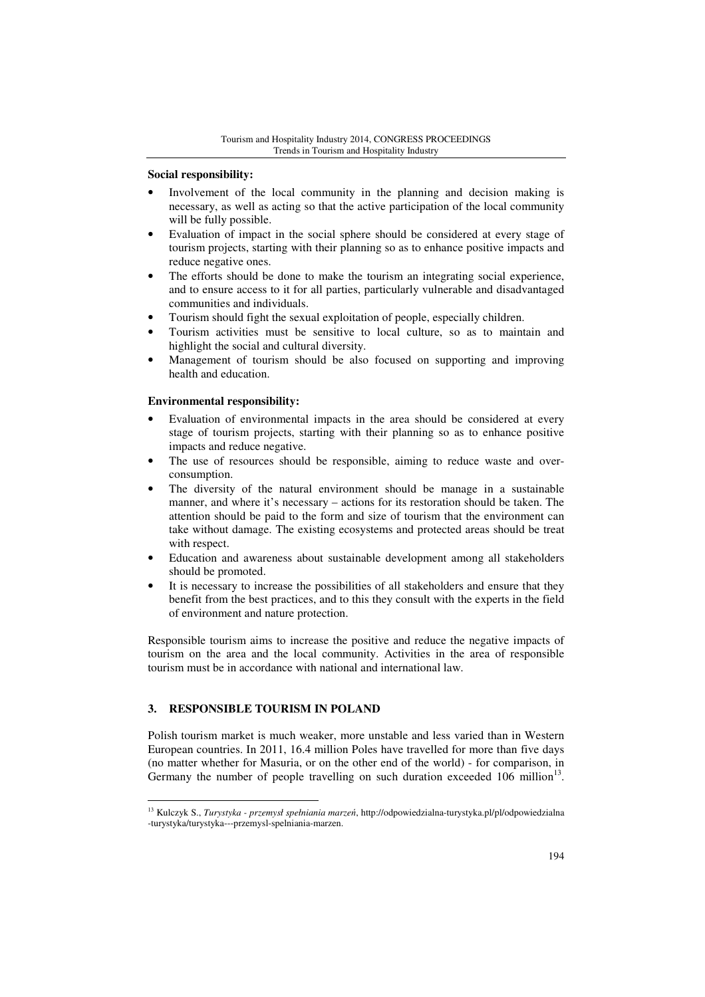## **Social responsibility:**

- Involvement of the local community in the planning and decision making is necessary, as well as acting so that the active participation of the local community will be fully possible.
- Evaluation of impact in the social sphere should be considered at every stage of tourism projects, starting with their planning so as to enhance positive impacts and reduce negative ones.
- The efforts should be done to make the tourism an integrating social experience, and to ensure access to it for all parties, particularly vulnerable and disadvantaged communities and individuals.
- Tourism should fight the sexual exploitation of people, especially children.
- Tourism activities must be sensitive to local culture, so as to maintain and highlight the social and cultural diversity.
- Management of tourism should be also focused on supporting and improving health and education.

## **Environmental responsibility:**

- Evaluation of environmental impacts in the area should be considered at every stage of tourism projects, starting with their planning so as to enhance positive impacts and reduce negative.
- The use of resources should be responsible, aiming to reduce waste and overconsumption.
- The diversity of the natural environment should be manage in a sustainable manner, and where it's necessary – actions for its restoration should be taken. The attention should be paid to the form and size of tourism that the environment can take without damage. The existing ecosystems and protected areas should be treat with respect.
- Education and awareness about sustainable development among all stakeholders should be promoted.
- It is necessary to increase the possibilities of all stakeholders and ensure that they benefit from the best practices, and to this they consult with the experts in the field of environment and nature protection.

Responsible tourism aims to increase the positive and reduce the negative impacts of tourism on the area and the local community. Activities in the area of responsible tourism must be in accordance with national and international law.

## **3. RESPONSIBLE TOURISM IN POLAND**

Polish tourism market is much weaker, more unstable and less varied than in Western European countries. In 2011, 16.4 million Poles have travelled for more than five days (no matter whether for Masuria, or on the other end of the world) - for comparison, in Germany the number of people travelling on such duration exceeded  $106$  million<sup>13</sup>.

 $\overline{a}$ <sup>13</sup> Kulczyk S., *Turystyka - przemysł spełniania marze*ń, http://odpowiedzialna-turystyka.pl/pl/odpowiedzialna -turystyka/turystyka---przemysl-spelniania-marzen.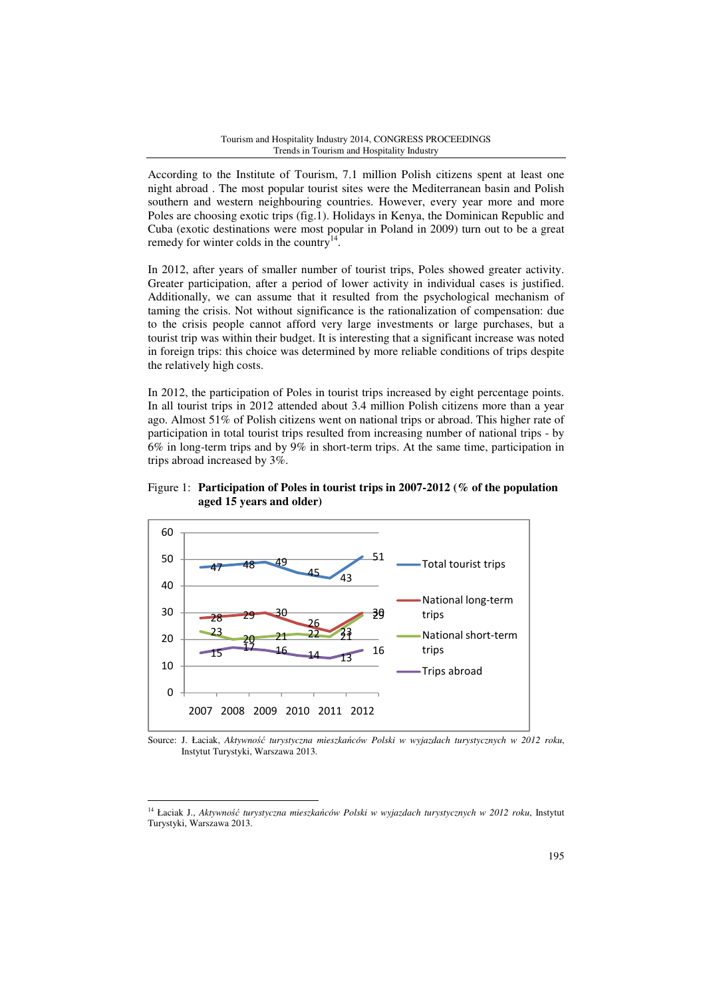According to the Institute of Tourism, 7.1 million Polish citizens spent at least one night abroad . The most popular tourist sites were the Mediterranean basin and Polish southern and western neighbouring countries. However, every year more and more Poles are choosing exotic trips (fig.1). Holidays in Kenya, the Dominican Republic and Cuba (exotic destinations were most popular in Poland in 2009) turn out to be a great remedy for winter colds in the country<sup>14</sup>.

In 2012, after years of smaller number of tourist trips, Poles showed greater activity. Greater participation, after a period of lower activity in individual cases is justified. Additionally, we can assume that it resulted from the psychological mechanism of taming the crisis. Not without significance is the rationalization of compensation: due to the crisis people cannot afford very large investments or large purchases, but a tourist trip was within their budget. It is interesting that a significant increase was noted in foreign trips: this choice was determined by more reliable conditions of trips despite the relatively high costs.

In 2012, the participation of Poles in tourist trips increased by eight percentage points. In all tourist trips in 2012 attended about 3.4 million Polish citizens more than a year ago. Almost 51% of Polish citizens went on national trips or abroad. This higher rate of participation in total tourist trips resulted from increasing number of national trips - by 6% in long-term trips and by 9% in short-term trips. At the same time, participation in trips abroad increased by 3%.

Figure 1: **Participation of Poles in tourist trips in 2007-2012 (% of the population aged 15 years and older)** 



Source: J. Łaciak, *Aktywno*ść *turystyczna mieszka*ń*ców Polski w wyjazdach turystycznych w 2012 roku*, Instytut Turystyki, Warszawa 2013.

 $\overline{a}$ 

<sup>14</sup> Łaciak J., *Aktywno*ść *turystyczna mieszka*ń*ców Polski w wyjazdach turystycznych w 2012 roku*, Instytut Turystyki, Warszawa 2013.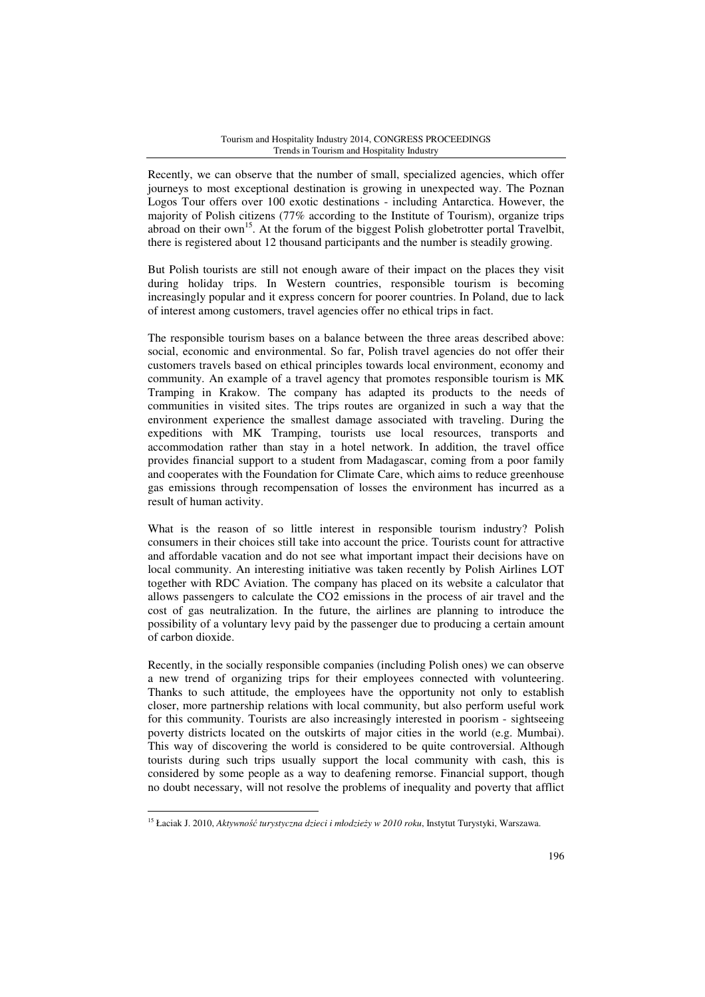#### Tourism and Hospitality Industry 2014, CONGRESS PROCEEDINGS Trends in Tourism and Hospitality Industry

Recently, we can observe that the number of small, specialized agencies, which offer journeys to most exceptional destination is growing in unexpected way. The Poznan Logos Tour offers over 100 exotic destinations - including Antarctica. However, the majority of Polish citizens (77% according to the Institute of Tourism), organize trips abroad on their  $own<sup>15</sup>$ . At the forum of the biggest Polish globetrotter portal Travelbit, there is registered about 12 thousand participants and the number is steadily growing.

But Polish tourists are still not enough aware of their impact on the places they visit during holiday trips. In Western countries, responsible tourism is becoming increasingly popular and it express concern for poorer countries. In Poland, due to lack of interest among customers, travel agencies offer no ethical trips in fact.

The responsible tourism bases on a balance between the three areas described above: social, economic and environmental. So far, Polish travel agencies do not offer their customers travels based on ethical principles towards local environment, economy and community. An example of a travel agency that promotes responsible tourism is MK Tramping in Krakow. The company has adapted its products to the needs of communities in visited sites. The trips routes are organized in such a way that the environment experience the smallest damage associated with traveling. During the expeditions with MK Tramping, tourists use local resources, transports and accommodation rather than stay in a hotel network. In addition, the travel office provides financial support to a student from Madagascar, coming from a poor family and cooperates with the Foundation for Climate Care, which aims to reduce greenhouse gas emissions through recompensation of losses the environment has incurred as a result of human activity.

What is the reason of so little interest in responsible tourism industry? Polish consumers in their choices still take into account the price. Tourists count for attractive and affordable vacation and do not see what important impact their decisions have on local community. An interesting initiative was taken recently by Polish Airlines LOT together with RDC Aviation. The company has placed on its website a calculator that allows passengers to calculate the CO2 emissions in the process of air travel and the cost of gas neutralization. In the future, the airlines are planning to introduce the possibility of a voluntary levy paid by the passenger due to producing a certain amount of carbon dioxide.

Recently, in the socially responsible companies (including Polish ones) we can observe a new trend of organizing trips for their employees connected with volunteering. Thanks to such attitude, the employees have the opportunity not only to establish closer, more partnership relations with local community, but also perform useful work for this community. Tourists are also increasingly interested in poorism - sightseeing poverty districts located on the outskirts of major cities in the world (e.g. Mumbai). This way of discovering the world is considered to be quite controversial. Although tourists during such trips usually support the local community with cash, this is considered by some people as a way to deafening remorse. Financial support, though no doubt necessary, will not resolve the problems of inequality and poverty that afflict

 $\overline{a}$ 

<sup>15</sup> Łaciak J. 2010, *Aktywno*ść *turystyczna dzieci i młodzie*ż*y w 2010 roku*, Instytut Turystyki, Warszawa.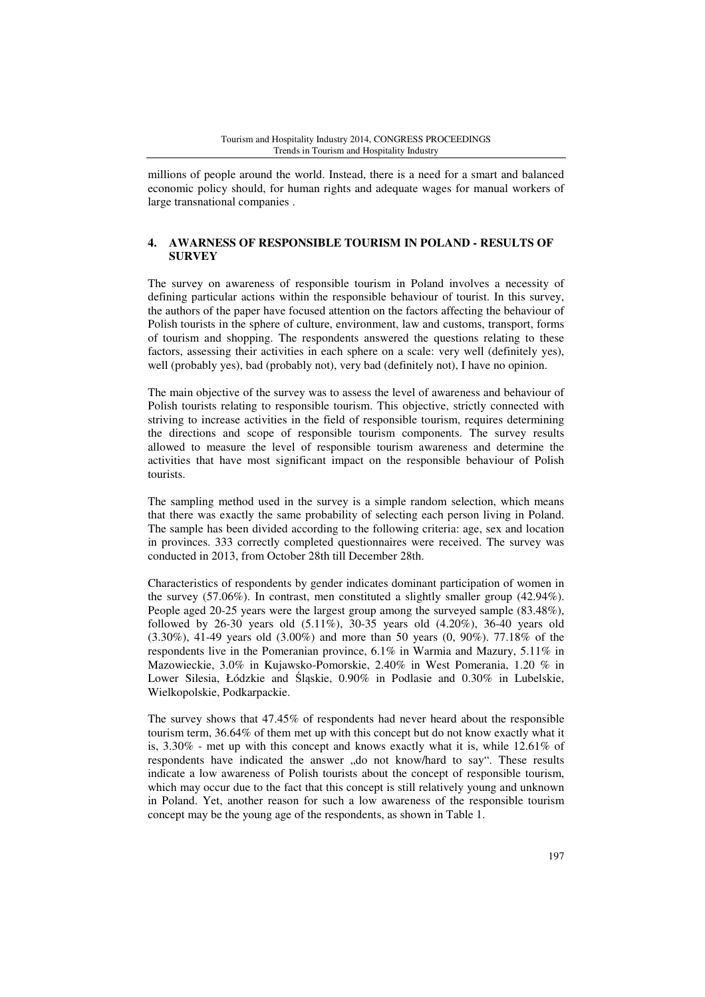millions of people around the world. Instead, there is a need for a smart and balanced economic policy should, for human rights and adequate wages for manual workers of large transnational companies .

## **4. AWARNESS OF RESPONSIBLE TOURISM IN POLAND - RESULTS OF SURVEY**

The survey on awareness of responsible tourism in Poland involves a necessity of defining particular actions within the responsible behaviour of tourist. In this survey, the authors of the paper have focused attention on the factors affecting the behaviour of Polish tourists in the sphere of culture, environment, law and customs, transport, forms of tourism and shopping. The respondents answered the questions relating to these factors, assessing their activities in each sphere on a scale: very well (definitely yes), well (probably yes), bad (probably not), very bad (definitely not), I have no opinion.

The main objective of the survey was to assess the level of awareness and behaviour of Polish tourists relating to responsible tourism. This objective, strictly connected with striving to increase activities in the field of responsible tourism, requires determining the directions and scope of responsible tourism components. The survey results allowed to measure the level of responsible tourism awareness and determine the activities that have most significant impact on the responsible behaviour of Polish tourists.

The sampling method used in the survey is a simple random selection, which means that there was exactly the same probability of selecting each person living in Poland. The sample has been divided according to the following criteria: age, sex and location in provinces. 333 correctly completed questionnaires were received. The survey was conducted in 2013, from October 28th till December 28th.

Characteristics of respondents by gender indicates dominant participation of women in the survey (57.06%). In contrast, men constituted a slightly smaller group (42.94%). People aged 20-25 years were the largest group among the surveyed sample (83.48%), followed by 26-30 years old (5.11%), 30-35 years old (4.20%), 36-40 years old (3.30%), 41-49 years old (3.00%) and more than 50 years (0, 90%). 77.18% of the respondents live in the Pomeranian province, 6.1% in Warmia and Mazury, 5.11% in Mazowieckie, 3.0% in Kujawsko-Pomorskie, 2.40% in West Pomerania, 1.20 % in Lower Silesia, Łódzkie and Śląskie, 0.90% in Podlasie and 0.30% in Lubelskie, Wielkopolskie, Podkarpackie.

The survey shows that 47.45% of respondents had never heard about the responsible tourism term, 36.64% of them met up with this concept but do not know exactly what it is,  $3.30\%$  - met up with this concept and knows exactly what it is, while  $12.61\%$  of respondents have indicated the answer "do not know/hard to say". These results indicate a low awareness of Polish tourists about the concept of responsible tourism, which may occur due to the fact that this concept is still relatively young and unknown in Poland. Yet, another reason for such a low awareness of the responsible tourism concept may be the young age of the respondents, as shown in Table 1.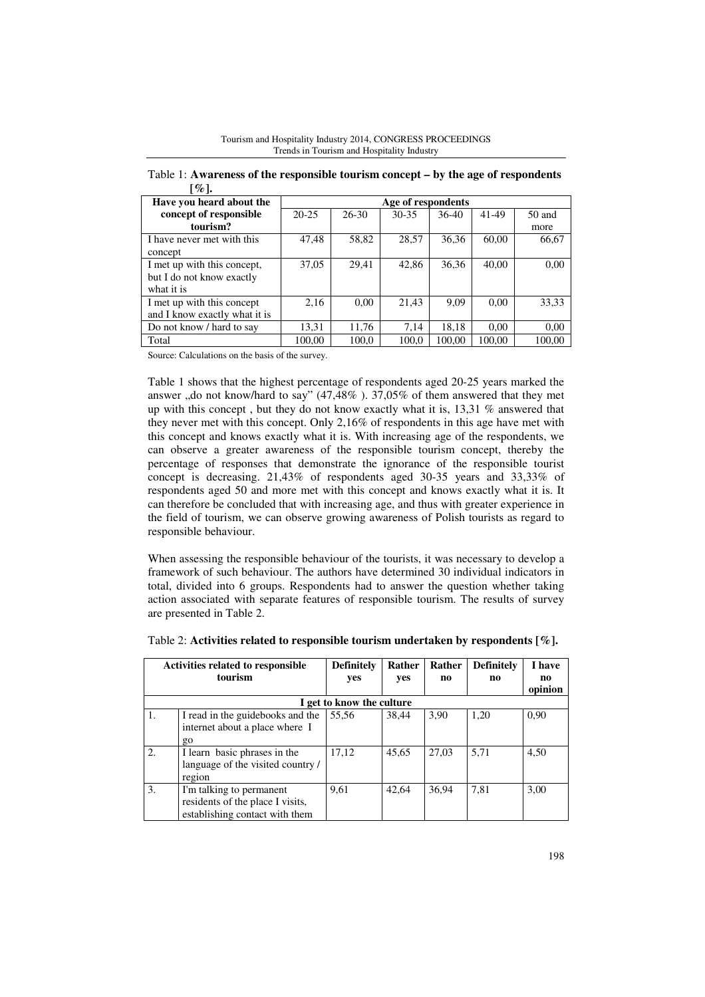| $\infty$ .                    |                    |           |           |         |        |        |
|-------------------------------|--------------------|-----------|-----------|---------|--------|--------|
| Have you heard about the      | Age of respondents |           |           |         |        |        |
| concept of responsible        | $20 - 25$          | $26 - 30$ | $30 - 35$ | $36-40$ | 41-49  | 50 and |
| tourism?                      |                    |           |           |         |        | more   |
| I have never met with this    | 47,48              | 58,82     | 28,57     | 36,36   | 60,00  | 66,67  |
| concept                       |                    |           |           |         |        |        |
| I met up with this concept,   | 37,05              | 29,41     | 42.86     | 36.36   | 40,00  | 0,00   |
| but I do not know exactly     |                    |           |           |         |        |        |
| what it is                    |                    |           |           |         |        |        |
| I met up with this concept    | 2,16               | 0,00      | 21,43     | 9,09    | 0,00   | 33,33  |
| and I know exactly what it is |                    |           |           |         |        |        |
| Do not know / hard to say     | 13,31              | 11,76     | 7.14      | 18,18   | 0.00   | 0,00   |
| Total                         | 100.00             | 100,0     | 100.0     | 100.00  | 100.00 | 100,00 |

Tourism and Hospitality Industry 2014, CONGRESS PROCEEDINGS Trends in Tourism and Hospitality Industry

Table 1: **Awareness of the responsible tourism concept – by the age of respondents**   $[0, 1]$ 

Source: Calculations on the basis of the survey.

Table 1 shows that the highest percentage of respondents aged 20-25 years marked the answer ,,do not know/hard to say"  $(47,48\%)$ . 37,05% of them answered that they met up with this concept, but they do not know exactly what it is,  $13.31\%$  answered that they never met with this concept. Only 2,16% of respondents in this age have met with this concept and knows exactly what it is. With increasing age of the respondents, we can observe a greater awareness of the responsible tourism concept, thereby the percentage of responses that demonstrate the ignorance of the responsible tourist concept is decreasing. 21,43% of respondents aged 30-35 years and 33,33% of respondents aged 50 and more met with this concept and knows exactly what it is. It can therefore be concluded that with increasing age, and thus with greater experience in the field of tourism, we can observe growing awareness of Polish tourists as regard to responsible behaviour.

When assessing the responsible behaviour of the tourists, it was necessary to develop a framework of such behaviour. The authors have determined 30 individual indicators in total, divided into 6 groups. Respondents had to answer the question whether taking action associated with separate features of responsible tourism. The results of survey are presented in Table 2.

| <b>Activities related to responsible</b><br>tourism |                                                                                                | <b>Definitely</b><br>yes | Rather<br>yes | Rather<br>no | <b>Definitely</b><br>no | I have<br>no |  |
|-----------------------------------------------------|------------------------------------------------------------------------------------------------|--------------------------|---------------|--------------|-------------------------|--------------|--|
|                                                     |                                                                                                |                          |               |              |                         | opinion      |  |
|                                                     | I get to know the culture                                                                      |                          |               |              |                         |              |  |
|                                                     | I read in the guidebooks and the<br>internet about a place where I<br>$g_0$                    | 55.56                    | 38.44         | 3.90         | 1,20                    | 0,90         |  |
| 2.                                                  | I learn basic phrases in the<br>language of the visited country /<br>region                    | 17,12                    | 45,65         | 27,03        | 5,71                    | 4,50         |  |
| 3.                                                  | I'm talking to permanent<br>residents of the place I visits,<br>establishing contact with them | 9,61                     | 42.64         | 36.94        | 7,81                    | 3,00         |  |

Table 2: **Activities related to responsible tourism undertaken by respondents [%].**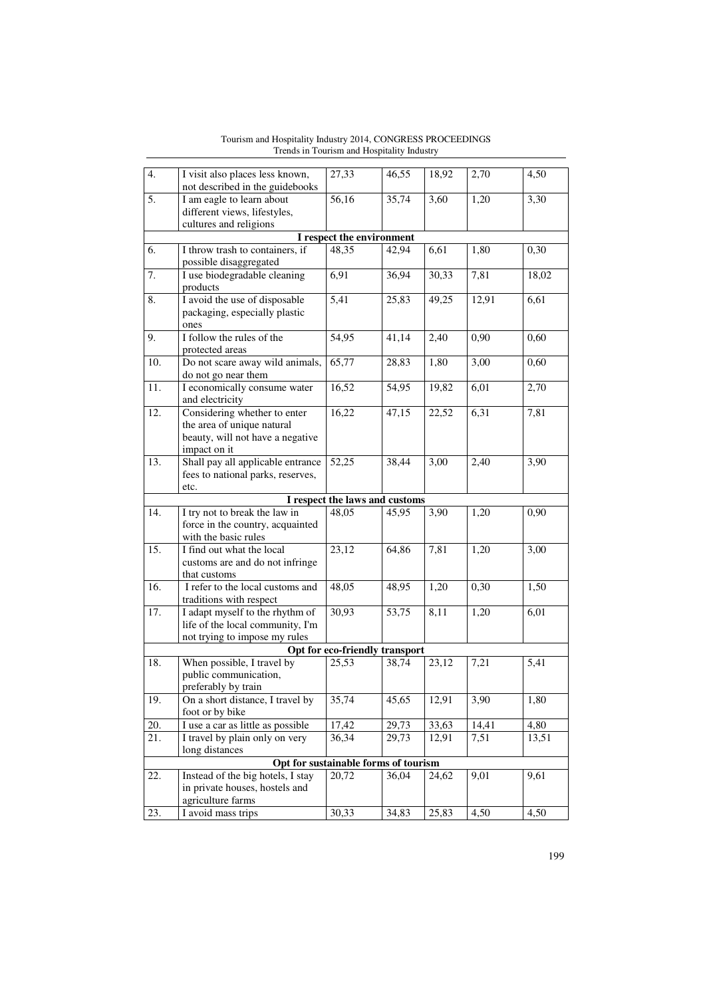| 4.                             | I visit also places less known,                           | 27,33                          | 46,55 | 18,92 | 2,70  | 4,50  |  |
|--------------------------------|-----------------------------------------------------------|--------------------------------|-------|-------|-------|-------|--|
| 5.                             | not described in the guidebooks                           |                                |       |       |       |       |  |
|                                | I am eagle to learn about<br>different views, lifestyles, | 56,16                          | 35,74 | 3,60  | 1,20  | 3,30  |  |
|                                | cultures and religions                                    |                                |       |       |       |       |  |
|                                |                                                           | I respect the environment      |       |       |       |       |  |
| 6.                             | I throw trash to containers, if                           | 48,35                          | 42,94 | 6,61  | 1,80  | 0,30  |  |
|                                | possible disaggregated                                    |                                |       |       |       |       |  |
| 7.                             | I use biodegradable cleaning                              | 6,91                           | 36,94 | 30,33 | 7,81  | 18,02 |  |
|                                | products                                                  |                                |       |       |       |       |  |
| 8.                             | I avoid the use of disposable                             | 5,41                           | 25,83 | 49,25 | 12,91 | 6,61  |  |
|                                | packaging, especially plastic                             |                                |       |       |       |       |  |
|                                | ones                                                      |                                |       |       |       |       |  |
| 9.                             | I follow the rules of the                                 | 54,95                          | 41,14 | 2,40  | 0,90  | 0,60  |  |
|                                | protected areas                                           |                                |       |       |       |       |  |
| 10.                            | Do not scare away wild animals,                           | 65,77                          | 28,83 | 1,80  | 3,00  | 0,60  |  |
| $\overline{11}$ .              | do not go near them                                       | 16,52                          |       |       |       |       |  |
|                                | I economically consume water<br>and electricity           |                                | 54,95 | 19,82 | 6,01  | 2,70  |  |
| 12.                            | Considering whether to enter                              | 16,22                          | 47,15 | 22,52 | 6,31  | 7,81  |  |
|                                | the area of unique natural                                |                                |       |       |       |       |  |
|                                | beauty, will not have a negative                          |                                |       |       |       |       |  |
|                                | impact on it                                              |                                |       |       |       |       |  |
| 13.                            | Shall pay all applicable entrance                         | 52,25                          | 38,44 | 3,00  | 2,40  | 3,90  |  |
|                                | fees to national parks, reserves,                         |                                |       |       |       |       |  |
|                                | etc.                                                      |                                |       |       |       |       |  |
|                                |                                                           | I respect the laws and customs |       |       |       |       |  |
| 14.                            | I try not to break the law in                             | 48,05                          | 45,95 | 3,90  | 1,20  | 0,90  |  |
|                                | force in the country, acquainted                          |                                |       |       |       |       |  |
| 15.                            | with the basic rules<br>I find out what the local         | 23,12                          | 64,86 | 7,81  | 1,20  | 3,00  |  |
|                                | customs are and do not infringe                           |                                |       |       |       |       |  |
|                                | that customs                                              |                                |       |       |       |       |  |
| $\overline{16}$ .              | I refer to the local customs and                          | 48,05                          | 48,95 | 1,20  | 0,30  | 1,50  |  |
|                                | traditions with respect                                   |                                |       |       |       |       |  |
| 17.                            | I adapt myself to the rhythm of                           | 30,93                          | 53,75 | 8,11  | 1,20  | 6,01  |  |
|                                | life of the local community, I'm                          |                                |       |       |       |       |  |
|                                | not trying to impose my rules                             |                                |       |       |       |       |  |
| Opt for eco-friendly transport |                                                           |                                |       |       |       |       |  |
| 18.                            | When possible, I travel by                                | 25,53                          | 38,74 | 23,12 | 7,21  | 5,41  |  |
|                                | public communication,                                     |                                |       |       |       |       |  |
|                                | preferably by train                                       |                                |       |       |       |       |  |
| 19.                            | On a short distance, I travel by<br>foot or by bike       | 35,74                          | 45,65 | 12,91 | 3,90  | 1,80  |  |
| 20.                            | I use a car as little as possible                         | 17,42                          | 29,73 | 33,63 | 14,41 | 4,80  |  |
| 21.                            | I travel by plain only on very                            | 36,34                          | 29,73 | 12,91 | 7,51  | 13,51 |  |
|                                | long distances                                            |                                |       |       |       |       |  |
|                                | Opt for sustainable forms of tourism                      |                                |       |       |       |       |  |
| 22.                            | Instead of the big hotels, I stay                         | 20,72                          | 36,04 | 24,62 | 9,01  | 9,61  |  |
|                                | in private houses, hostels and                            |                                |       |       |       |       |  |
|                                | agriculture farms                                         |                                |       |       |       |       |  |
| 23.                            | I avoid mass trips                                        | 30,33                          | 34,83 | 25,83 | 4,50  | 4,50  |  |

Tourism and Hospitality Industry 2014, CONGRESS PROCEEDINGS Trends in Tourism and Hospitality Industry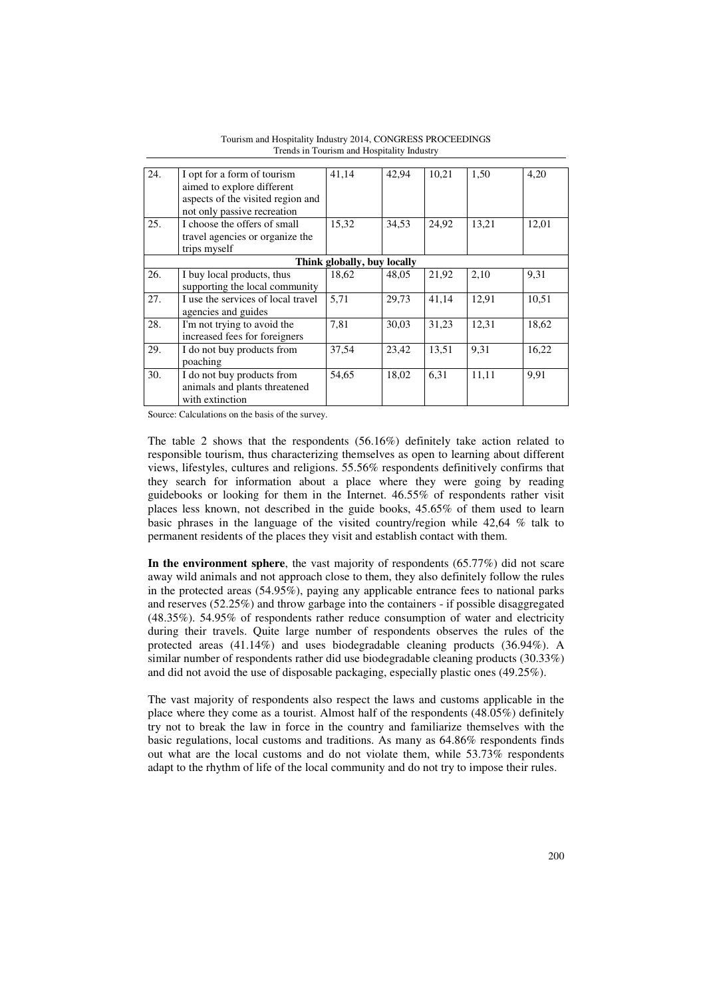| 24. | I opt for a form of tourism<br>aimed to explore different<br>aspects of the visited region and<br>not only passive recreation | 41.14 | 42.94 | 10,21 | 1,50  | 4,20  |  |
|-----|-------------------------------------------------------------------------------------------------------------------------------|-------|-------|-------|-------|-------|--|
| 25. | I choose the offers of small<br>travel agencies or organize the<br>trips myself                                               | 15,32 | 34,53 | 24,92 | 13,21 | 12,01 |  |
|     | Think globally, buy locally                                                                                                   |       |       |       |       |       |  |
| 26. | I buy local products, thus<br>supporting the local community                                                                  | 18.62 | 48.05 | 21,92 | 2.10  | 9.31  |  |
| 27. | I use the services of local travel<br>agencies and guides                                                                     | 5.71  | 29.73 | 41,14 | 12,91 | 10,51 |  |
| 28. | I'm not trying to avoid the<br>increased fees for foreigners                                                                  | 7,81  | 30,03 | 31,23 | 12,31 | 18,62 |  |
| 29. | I do not buy products from<br>poaching                                                                                        | 37,54 | 23,42 | 13,51 | 9,31  | 16,22 |  |
| 30. | I do not buy products from<br>animals and plants threatened<br>with extinction                                                | 54,65 | 18,02 | 6,31  | 11,11 | 9.91  |  |

Tourism and Hospitality Industry 2014, CONGRESS PROCEEDINGS Trends in Tourism and Hospitality Industry

Source: Calculations on the basis of the survey.

The table 2 shows that the respondents (56.16%) definitely take action related to responsible tourism, thus characterizing themselves as open to learning about different views, lifestyles, cultures and religions. 55.56% respondents definitively confirms that they search for information about a place where they were going by reading guidebooks or looking for them in the Internet. 46.55% of respondents rather visit places less known, not described in the guide books, 45.65% of them used to learn basic phrases in the language of the visited country/region while 42,64 % talk to permanent residents of the places they visit and establish contact with them.

**In the environment sphere**, the vast majority of respondents (65.77%) did not scare away wild animals and not approach close to them, they also definitely follow the rules in the protected areas (54.95%), paying any applicable entrance fees to national parks and reserves (52.25%) and throw garbage into the containers - if possible disaggregated (48.35%). 54.95% of respondents rather reduce consumption of water and electricity during their travels. Quite large number of respondents observes the rules of the protected areas (41.14%) and uses biodegradable cleaning products (36.94%). A similar number of respondents rather did use biodegradable cleaning products (30.33%) and did not avoid the use of disposable packaging, especially plastic ones (49.25%).

The vast majority of respondents also respect the laws and customs applicable in the place where they come as a tourist. Almost half of the respondents (48.05%) definitely try not to break the law in force in the country and familiarize themselves with the basic regulations, local customs and traditions. As many as 64.86% respondents finds out what are the local customs and do not violate them, while 53.73% respondents adapt to the rhythm of life of the local community and do not try to impose their rules.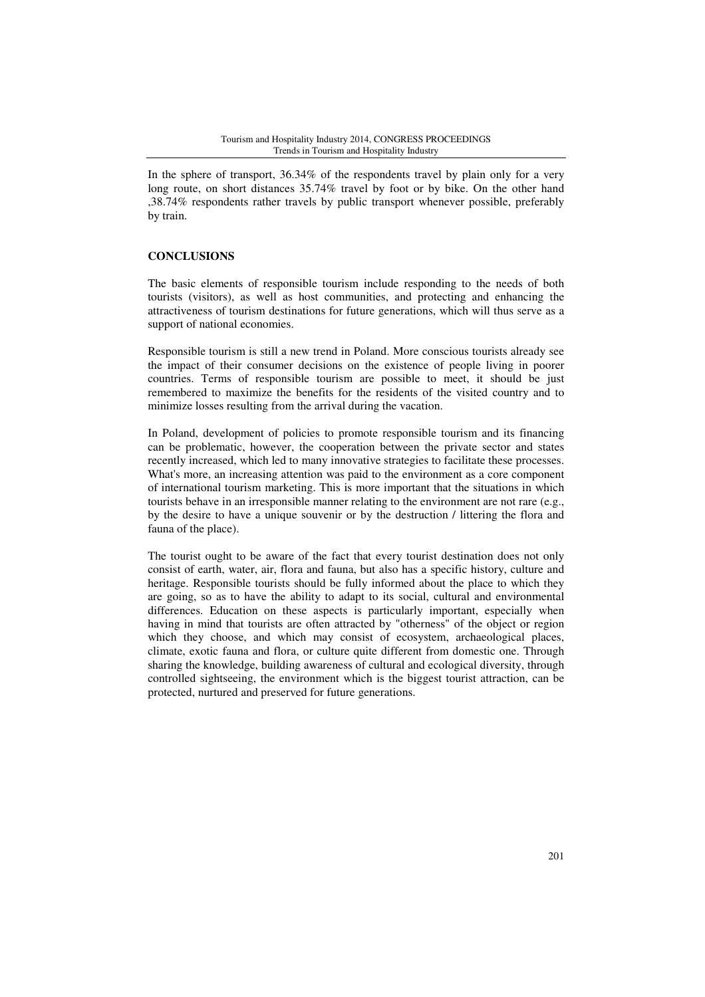In the sphere of transport, 36.34% of the respondents travel by plain only for a very long route, on short distances 35.74% travel by foot or by bike. On the other hand ,38.74% respondents rather travels by public transport whenever possible, preferably by train.

## **CONCLUSIONS**

The basic elements of responsible tourism include responding to the needs of both tourists (visitors), as well as host communities, and protecting and enhancing the attractiveness of tourism destinations for future generations, which will thus serve as a support of national economies.

Responsible tourism is still a new trend in Poland. More conscious tourists already see the impact of their consumer decisions on the existence of people living in poorer countries. Terms of responsible tourism are possible to meet, it should be just remembered to maximize the benefits for the residents of the visited country and to minimize losses resulting from the arrival during the vacation.

In Poland, development of policies to promote responsible tourism and its financing can be problematic, however, the cooperation between the private sector and states recently increased, which led to many innovative strategies to facilitate these processes. What's more, an increasing attention was paid to the environment as a core component of international tourism marketing. This is more important that the situations in which tourists behave in an irresponsible manner relating to the environment are not rare (e.g., by the desire to have a unique souvenir or by the destruction / littering the flora and fauna of the place).

The tourist ought to be aware of the fact that every tourist destination does not only consist of earth, water, air, flora and fauna, but also has a specific history, culture and heritage. Responsible tourists should be fully informed about the place to which they are going, so as to have the ability to adapt to its social, cultural and environmental differences. Education on these aspects is particularly important, especially when having in mind that tourists are often attracted by "otherness" of the object or region which they choose, and which may consist of ecosystem, archaeological places, climate, exotic fauna and flora, or culture quite different from domestic one. Through sharing the knowledge, building awareness of cultural and ecological diversity, through controlled sightseeing, the environment which is the biggest tourist attraction, can be protected, nurtured and preserved for future generations.